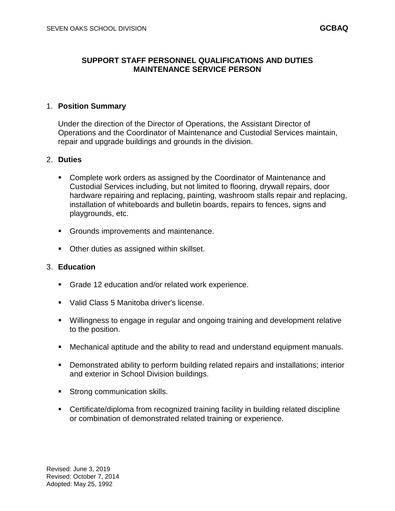# **SUPPORT STAFF PERSONNEL QUALIFICATIONS AND DUTIES MAINTENANCE SERVICE PERSON**

### 1. **Position Summary**

Under the direction of the Director of Operations, the Assistant Director of Operations and the Coordinator of Maintenance and Custodial Services maintain, repair and upgrade buildings and grounds in the division.

### 2. **Duties**

- **Complete work orders as assigned by the Coordinator of Maintenance and** Custodial Services including, but not limited to flooring, drywall repairs, door hardware repairing and replacing, painting, washroom stalls repair and replacing, installation of whiteboards and bulletin boards, repairs to fences, signs and playgrounds, etc.
- Grounds improvements and maintenance.
- Other duties as assigned within skillset.

### 3. **Education**

- Grade 12 education and/or related work experience.
- Valid Class 5 Manitoba driver's license.
- Willingness to engage in regular and ongoing training and development relative to the position.
- Mechanical aptitude and the ability to read and understand equipment manuals.
- Demonstrated ability to perform building related repairs and installations; interior and exterior in School Division buildings.
- **Strong communication skills.**
- Certificate/diploma from recognized training facility in building related discipline or combination of demonstrated related training or experience.